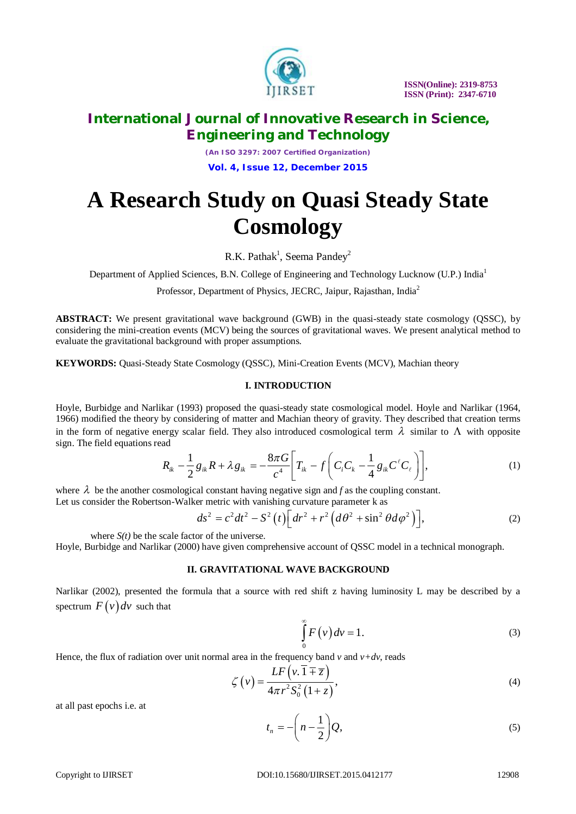

## **International Journal of Innovative Research in Science, Engineering and Technology**

*(An ISO 3297: 2007 Certified Organization)* **Vol. 4, Issue 12, December 2015**

# **A Research Study on Quasi Steady State Cosmology**

R.K. Pathak<sup>1</sup>, Seema Pandey<sup>2</sup>

Department of Applied Sciences, B.N. College of Engineering and Technology Lucknow (U.P.) India<sup>1</sup>

Professor, Department of Physics, JECRC, Jaipur, Rajasthan, India<sup>2</sup>

**ABSTRACT:** We present gravitational wave background (GWB) in the quasi-steady state cosmology (QSSC), by considering the mini-creation events (MCV) being the sources of gravitational waves. We present analytical method to evaluate the gravitational background with proper assumptions.

**KEYWORDS:** Quasi-Steady State Cosmology (QSSC), Mini-Creation Events (MCV), Machian theory

### **I. INTRODUCTION**

Hoyle, Burbidge and Narlikar (1993) proposed the quasi-steady state cosmological model. Hoyle and Narlikar (1964, 1966) modified the theory by considering of matter and Machian theory of gravity. They described that creation terms in the form of negative energy scalar field. They also introduced cosmological term  $\lambda$  similar to  $\Lambda$  with opposite sign. The field equations read

$$
R_{ik} - \frac{1}{2} g_{ik} R + \lambda g_{ik} = -\frac{8\pi G}{c^4} \bigg[ T_{ik} - f \bigg( C_i C_k - \frac{1}{4} g_{ik} C^{\ell} C_{\ell} \bigg) \bigg],
$$
 (1)

where  $\lambda$  be the another cosmological constant having negative sign and *f* as the coupling constant.

Let us consider the Robertson-Walker metric with vanishing curvature parameter k as

$$
ds^2 = c^2 dt^2 - S^2(t) \Big[ dr^2 + r^2 \Big( d\theta^2 + \sin^2 \theta d\varphi^2 \Big) \Big],
$$
 (2)

where  $S(t)$  be the scale factor of the universe.

Hoyle, Burbidge and Narlikar (2000) have given comprehensive account of QSSC model in a technical monograph.

#### **II. GRAVITATIONAL WAVE BACKGROUND**

Narlikar (2002), presented the formula that a source with red shift z having luminosity L may be described by a spectrum  $F(v)dv$  such that

$$
\int_{0}^{\infty} F(v) dv = 1.
$$
 (3)

Hence, the flux of radiation over unit normal area in the frequency band  $v$  and  $v+dv$ , reads

$$
\zeta(v) = \frac{LF(v.\overline{1 \mp z})}{4\pi r^2 S_0^2 (1 + z)},
$$
\n(4)

at all past epochs i.e. at

$$
t_n = -\left(n - \frac{1}{2}\right)Q,\tag{5}
$$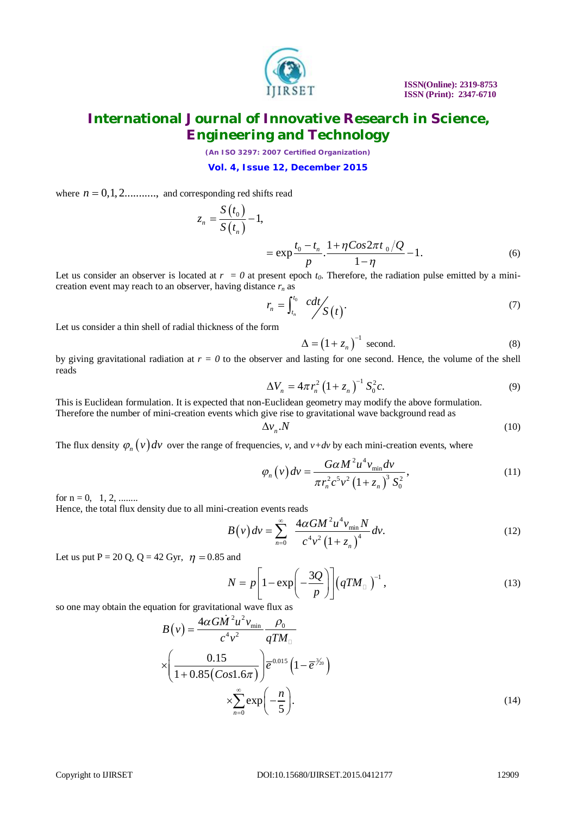

## **International Journal of Innovative Research in Science, Engineering and Technology**

*(An ISO 3297: 2007 Certified Organization)*

**Vol. 4, Issue 12, December 2015**

where  $n = 0, 1, 2, \ldots$ , and corresponding red shifts read

$$
z_n = \frac{S(t_0)}{S(t_n)} - 1,
$$
  
=  $\exp{\frac{t_0 - t_n}{p} \cdot \frac{1 + \eta \cos 2\pi t_0}{1 - \eta} - 1}.$  (6)

Let us consider an observer is located at  $r = 0$  at present epoch  $t_0$ . Therefore, the radiation pulse emitted by a minicreation event may reach to an observer, having distance  $r<sub>n</sub>$  as

$$
r_n = \int_{t_n}^{t_0} \frac{cdt}{S(t)}.
$$
\n(7)

Let us consider a thin shell of radial thickness of the form

$$
\Delta = \left(1 + z_n\right)^{-1} \text{ second.}
$$
 (8)

by giving gravitational radiation at  $r = 0$  to the observer and lasting for one second. Hence, the volume of the shell reads

$$
\Delta V_n = 4\pi r_n^2 \left(1 + z_n\right)^{-1} S_0^2 c. \tag{9}
$$

This is Euclidean formulation. It is expected that non-Euclidean geometry may modify the above formulation. Therefore the number of mini-creation events which give rise to gravitational wave background read as

$$
\Delta v_n N \tag{10}
$$

The flux density  $\varphi_n(v)dv$  over the range of frequencies, *v*, and *v*+*dv* by each mini-creation events, where

$$
\varphi_n(v) dv = \frac{G\alpha M^2 u^4 v_{\min} dv}{\pi r_n^2 c^5 v^2 (1 + z_n)^3 S_0^2},
$$
\n(11)

for  $n = 0, 1, 2, \dots$ 

Hence, the total flux density due to all mini-creation events reads

$$
B(v) dv = \sum_{n=0}^{\infty} \frac{4\alpha GM^2 u^4 v_{\text{min}} N}{c^4 v^2 (1 + z_n)^4} dv.
$$
 (12)

Let us put  $P = 20 Q$ ,  $Q = 42 Gyr$ ,  $\eta = 0.85$  and

$$
N = p \left[ 1 - \exp\left( -\frac{3Q}{p} \right) \right] \left( qT M_{\parallel} \right)^{-1}, \tag{13}
$$

so one may obtain the equation for gravitational wave flux as

$$
B(v) = \frac{4\alpha G \dot{M}^2 u^2 v_{\text{min}}}{c^4 v^2} \frac{\rho_0}{q T M_{\text{u}}}
$$
  
 
$$
\times \left(\frac{0.15}{1 + 0.85(Cos 1.6\pi)}\right) \overline{e}^{0.015} \left(1 - \overline{e}^{3/2} \right)
$$
  
 
$$
\times \sum_{n=0}^{\infty} \exp\left(-\frac{n}{5}\right).
$$
 (14)